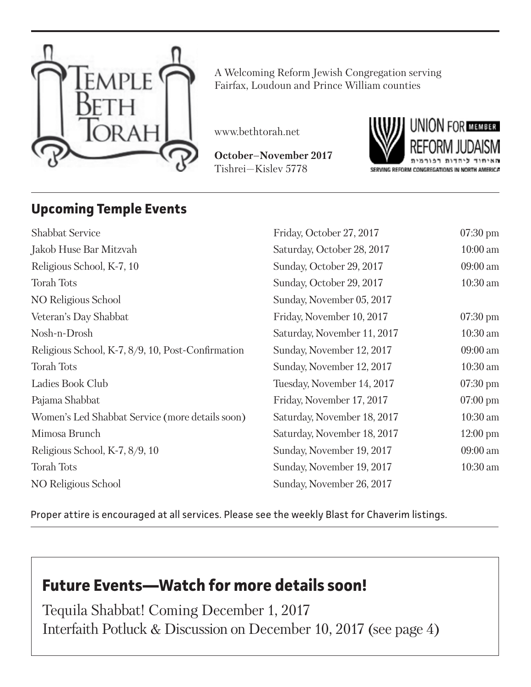

A Welcoming Reform Jewish Congregation serving Fairfax, Loudoun and Prince William counties

www.bethtorah.net

**October–November 2017** Tishrei—Kislev 5778



## **Upcoming Temple Events**

| <b>Shabbat Service</b>                            | Friday, October 27, 2017    | $07:30 \text{ pm}$ |
|---------------------------------------------------|-----------------------------|--------------------|
| Jakob Huse Bar Mitzvah                            | Saturday, October 28, 2017  | $10:00$ am         |
| Religious School, K-7, 10                         | Sunday, October 29, 2017    | 09:00 am           |
| <b>Torah Tots</b>                                 | Sunday, October 29, 2017    | $10:30$ am         |
| NO Religious School                               | Sunday, November 05, 2017   |                    |
| Veteran's Day Shabbat                             | Friday, November 10, 2017   | $07:30 \text{ pm}$ |
| Nosh-n-Drosh                                      | Saturday, November 11, 2017 | $10:30$ am         |
| Religious School, K-7, 8/9, 10, Post-Confirmation | Sunday, November 12, 2017   | 09:00 am           |
| <b>Torah Tots</b>                                 | Sunday, November 12, 2017   | $10:30$ am         |
| Ladies Book Club                                  | Tuesday, November 14, 2017  | $07:30 \text{ pm}$ |
| Pajama Shabbat                                    | Friday, November 17, 2017   | $07:00 \text{ pm}$ |
| Women's Led Shabbat Service (more details soon)   | Saturday, November 18, 2017 | $10:30$ am         |
| Mimosa Brunch                                     | Saturday, November 18, 2017 | $12:00 \text{ pm}$ |
| Religious School, K-7, 8/9, 10                    | Sunday, November 19, 2017   | 09:00 am           |
| <b>Torah Tots</b>                                 | Sunday, November 19, 2017   | $10:30$ am         |
| NO Religious School                               | Sunday, November 26, 2017   |                    |
|                                                   |                             |                    |

Proper attire is encouraged at all services. Please see the weekly Blast for Chaverim listings.

## **Future Events—Watch for more details soon!**

Tequila Shabbat! Coming December 1, 2017 Interfaith Potluck & Discussion on December 10, 2017 (see page 4)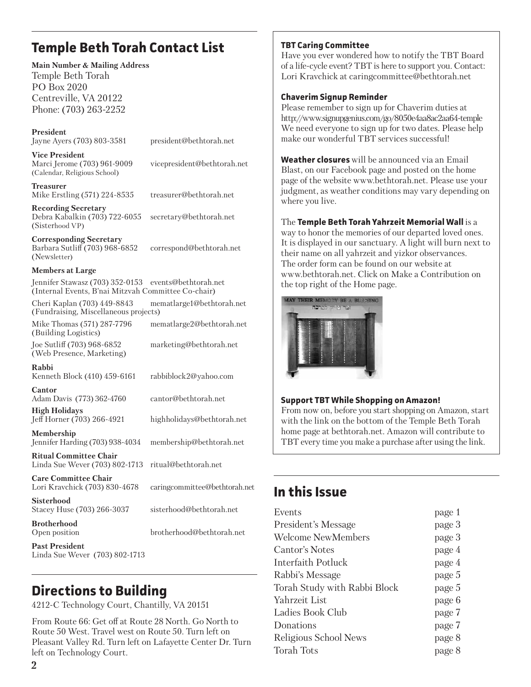## **Temple Beth Torah Contact List**

**Main Number & Mailing Address** Temple Beth Torah PO Box 2020 Centreville, VA 20122 Phone: (703) 263-2252

**President** Jayne Ayers (703) 803-3581 president@bethtorah.net

**Vice President** Marci Jerome (703) 961-9009 vicepresident@bethtorah.net (Calendar, Religious School)

**Treasurer** Mike Erstling (571) 224-8535 treasurer@bethtorah.net

**Recording Secretary** Debra Kabalkin (703) 722-6055 secretary@bethtorah.net (Sisterhood VP)

**Corresponding Secretary** Barbara Sutliff (703) 968-6852 correspond@bethtorah.net (Newsletter)

brotherhood@bethtorah.net

#### **Members at Large**

Jennifer Stawasz (703) 352-0153 events@bethtorah.net (Internal Events, B'nai Mitzvah Committee Co-chair) Cheri Kaplan (703) 449-8843 mematlarge1@bethtorah.net (Fundraising, Miscellaneous projects) Mike Thomas (571) 287-7796 mematlarge2@bethtorah.net (Building Logistics)

Joe Sutliff (703) 968-6852 marketing@bethtorah.net (Web Presence, Marketing)

**Rabbi** Kenneth Block (410) 459-6161 rabbiblock2@yahoo.com

**Cantor** Adam Davis (773) 362-4760 cantor@bethtorah.net **High Holidays**

Jeff Horner (703) 266-4921 highholidays@bethtorah.net

**Membership** Jennifer Harding (703) 938-4034 membership@bethtorah.net

**Ritual Committee Chair** Linda Sue Wever (703) 802-1713 ritual@bethtorah.net

**Care Committee Chair** Lori Kravchick (703) 830-4678 caringcommittee@bethtorah.net

**Sisterhood** Stacey Huse (703) 266-3037 sisterhood@bethtorah.net

**Brotherhood**<br>Open position

**Past President**  Linda Sue Wever (703) 802-1713

## **Directions to Building**

4212-C Technology Court, Chantilly, VA 20151

From Route 66: Get off at Route 28 North. Go North to Route 50 West. Travel west on Route 50. Turn left on Pleasant Valley Rd. Turn left on Lafayette Center Dr. Turn left on Technology Court.

#### **TBT Caring Committee**

Have you ever wondered how to notify the TBT Board of a life-cycle event? TBT is here to support you. Contact: Lori Kravchick at caringcommittee@bethtorah.net

#### **Chaverim Signup Reminder**

Please remember to sign up for Chaverim duties at http://www.signupgenius.com/go/8050e4aa8ac2aa64-temple We need everyone to sign up for two dates. Please help make our wonderful TBT services successful!

**Weather closures** will be announced via an Email Blast, on our Facebook page and posted on the home page of the website www.bethtorah.net. Please use your judgment, as weather conditions may vary depending on where you live.

The **Temple Beth Torah Yahrzeit Memorial Wall** is a way to honor the memories of our departed loved ones. It is displayed in our sanctuary. A light will burn next to their name on all yahrzeit and yizkor observances. The order form can be found on our website at www.bethtorah.net. Click on Make a Contribution on the top right of the Home page.



#### **Support TBT While Shopping on Amazon!**

From now on, before you start shopping on Amazon, start with the link on the bottom of the Temple Beth Torah home page at bethtorah.net. Amazon will contribute to TBT every time you make a purchase after using the link.

## **In this Issue**

| Events                       | page 1 |
|------------------------------|--------|
| President's Message          | page 3 |
| <b>Welcome NewMembers</b>    | page 3 |
| Cantor's Notes               | page 4 |
| Interfaith Potluck           | page 4 |
| Rabbi's Message              | page 5 |
| Torah Study with Rabbi Block | page 5 |
| Yahrzeit List                | page 6 |
| Ladies Book Club             | page 7 |
| Donations                    | page 7 |
| Religious School News        | page 8 |
| <b>Torah Tots</b>            | page 8 |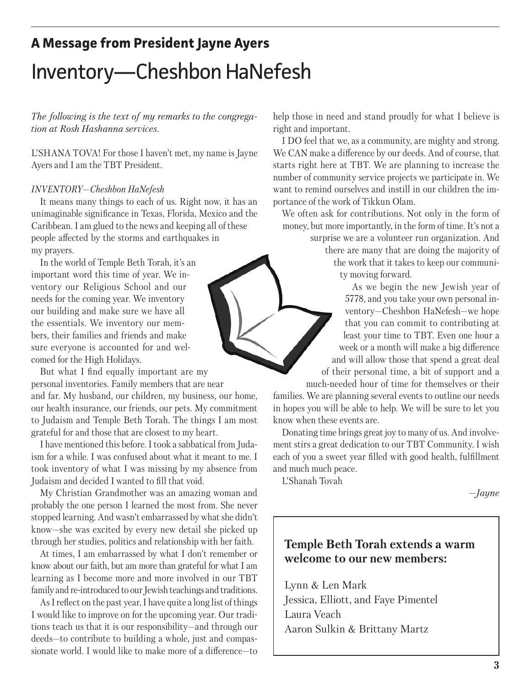## **A Message from President Jayne Ayers**

# Inventory—Cheshbon HaNefesh

*The following is the text of my remarks to the congregation at Rosh Hashanna services.*

L'SHANA TOVA! For those I haven't met, my name is Jayne Ayers and I am the TBT President.

#### *INVENTORY—Cheshbon HaNefesh*

It means many things to each of us. Right now, it has an unimaginable significance in Texas, Florida, Mexico and the Caribbean. I am glued to the news and keeping all of these people affected by the storms and earthquakes in my prayers.

In the world of Temple Beth Torah, it's an important word this time of year. We inventory our Religious School and our needs for the coming year. We inventory our building and make sure we have all the essentials. We inventory our members, their families and friends and make sure everyone is accounted for and welcomed for the High Holidays.

But what I find equally important are my personal inventories. Family members that are near and far. My husband, our children, my business, our home, our health insurance, our friends, our pets. My commitment to Judaism and Temple Beth Torah. The things I am most grateful for and those that are closest to my heart.

I have mentioned this before. I took a sabbatical from Judaism for a while. I was confused about what it meant to me. I took inventory of what I was missing by my absence from Judaism and decided I wanted to fill that void.

My Christian Grandmother was an amazing woman and probably the one person I learned the most from. She never stopped learning. And wasn't embarrassed by what she didn't know—she was excited by every new detail she picked up through her studies, politics and relationship with her faith.

At times, I am embarrassed by what I don't remember or know about our faith, but am more than grateful for what I am learning as I become more and more involved in our TBT family and re-introduced to our Jewish teachings and traditions.

As I reflect on the past year, I have quite a long list of things I would like to improve on for the upcoming year. Our traditions teach us that it is our responsibility—and through our deeds—to contribute to building a whole, just and compassionate world. I would like to make more of a difference—to help those in need and stand proudly for what I believe is right and important.

I DO feel that we, as a community, are mighty and strong. We CAN make a difference by our deeds. And of course, that starts right here at TBT. We are planning to increase the number of community service projects we participate in. We want to remind ourselves and instill in our children the importance of the work of Tikkun Olam.

We often ask for contributions. Not only in the form of money, but more importantly, in the form of time. It's not a

surprise we are a volunteer run organization. And there are many that are doing the majority of the work that it takes to keep our community moving forward.

As we begin the new Jewish year of 5778, and you take your own personal inventory—Cheshbon HaNefesh—we hope that you can commit to contributing at least your time to TBT. Even one hour a week or a month will make a big difference and will allow those that spend a great deal of their personal time, a bit of support and a much-needed hour of time for themselves or their

families. We are planning several events to outline our needs in hopes you will be able to help. We will be sure to let you know when these events are.

Donating time brings great joy to many of us. And involvement stirs a great dedication to our TBT Community. I wish each of you a sweet year filled with good health, fulfillment and much much peace.

L'Shanah Tovah

*—Jayne*

### **Temple Beth Torah extends a warm welcome to our new members:**

Lynn & Len Mark Jessica, Elliott, and Faye Pimentel Laura Veach Aaron Sulkin & Brittany Martz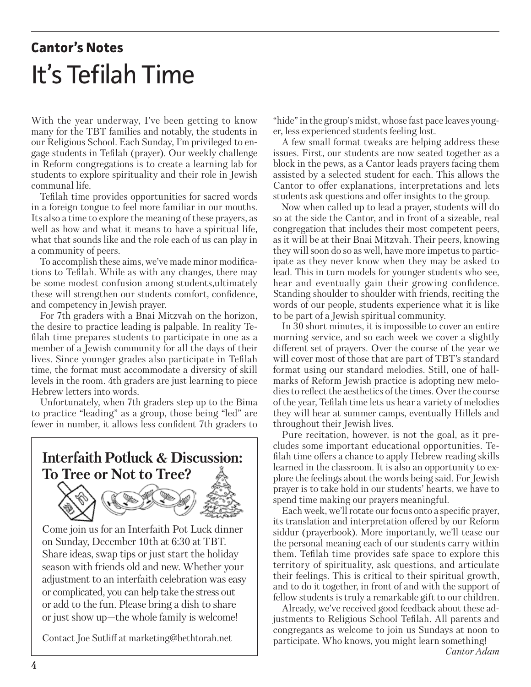# **Cantor's Notes** It's Tefilah Time

With the year underway, I've been getting to know many for the TBT families and notably, the students in our Religious School. Each Sunday, I'm privileged to engage students in Tefilah (prayer). Our weekly challenge in Reform congregations is to create a learning lab for students to explore spirituality and their role in Jewish communal life.

Tefilah time provides opportunities for sacred words in a foreign tongue to feel more familiar in our mouths. Its also a time to explore the meaning of these prayers, as well as how and what it means to have a spiritual life, what that sounds like and the role each of us can play in a community of peers.

To accomplish these aims, we've made minor modifications to Tefilah. While as with any changes, there may be some modest confusion among students,ultimately these will strengthen our students comfort, confidence, and competency in Jewish prayer.

For 7th graders with a Bnai Mitzvah on the horizon, the desire to practice leading is palpable. In reality Tefilah time prepares students to participate in one as a member of a Jewish community for all the days of their lives. Since younger grades also participate in Tefilah time, the format must accommodate a diversity of skill levels in the room. 4th graders are just learning to piece Hebrew letters into words.

Unfortunately, when 7th graders step up to the Bima to practice "leading" as a group, those being "led" are fewer in number, it allows less confident 7th graders to

## **Interfaith Potluck & Discussion: To Tree or Not to Tree?**



Come join us for an Interfaith Pot Luck dinner on Sunday, December 10th at 6:30 at TBT. Share ideas, swap tips or just start the holiday season with friends old and new. Whether your adjustment to an interfaith celebration was easy or complicated, you can help take the stress out or add to the fun. Please bring a dish to share or just show up—the whole family is welcome!

Contact Joe Sutliff at marketing@bethtorah.net

"hide" in the group's midst, whose fast pace leaves younger, less experienced students feeling lost.

A few small format tweaks are helping address these issues. First, our students are now seated together as a block in the pews, as a Cantor leads prayers facing them assisted by a selected student for each. This allows the Cantor to offer explanations, interpretations and lets students ask questions and offer insights to the group.

Now when called up to lead a prayer, students will do so at the side the Cantor, and in front of a sizeable, real congregation that includes their most competent peers, as it will be at their Bnai Mitzvah. Their peers, knowing they will soon do so as well, have more impetus to participate as they never know when they may be asked to lead. This in turn models for younger students who see, hear and eventually gain their growing confidence. Standing shoulder to shoulder with friends, reciting the words of our people, students experience what it is like to be part of a Jewish spiritual community.

In 30 short minutes, it is impossible to cover an entire morning service, and so each week we cover a slightly different set of prayers. Over the course of the year we will cover most of those that are part of TBT's standard format using our standard melodies. Still, one of hallmarks of Reform Jewish practice is adopting new melodies to reflect the aesthetics of the times. Over the course of the year, Tefilah time lets us hear a variety of melodies they will hear at summer camps, eventually Hillels and throughout their Jewish lives.

Pure recitation, however, is not the goal, as it precludes some important educational opportunities. Tefilah time offers a chance to apply Hebrew reading skills learned in the classroom. It is also an opportunity to explore the feelings about the words being said. For Jewish prayer is to take hold in our students' hearts, we have to spend time making our prayers meaningful.

Each week, we'll rotate our focus onto a specific prayer, its translation and interpretation offered by our Reform siddur (prayerbook). More importantly, we'll tease our the personal meaning each of our students carry within them. Tefilah time provides safe space to explore this territory of spirituality, ask questions, and articulate their feelings. This is critical to their spiritual growth, and to do it together, in front of and with the support of fellow students is truly a remarkable gift to our children.

Already, we've received good feedback about these adjustments to Religious School Tefilah. All parents and congregants as welcome to join us Sundays at noon to participate. Who knows, you might learn something!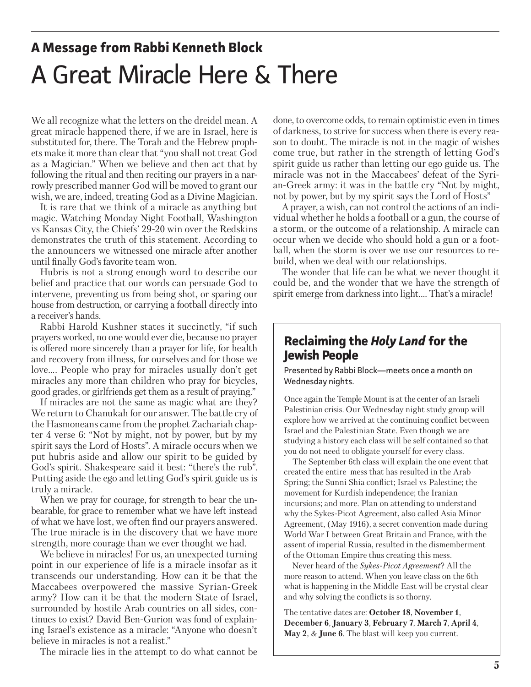# **A Message from Rabbi Kenneth Block** A Great Miracle Here & There

We all recognize what the letters on the dreidel mean. A great miracle happened there, if we are in Israel, here is substituted for, there. The Torah and the Hebrew prophets make it more than clear that "you shall not treat God as a Magician." When we believe and then act that by following the ritual and then reciting our prayers in a narrowly prescribed manner God will be moved to grant our wish, we are, indeed, treating God as a Divine Magician.

It is rare that we think of a miracle as anything but magic. Watching Monday Night Football, Washington vs Kansas City, the Chiefs' 29-20 win over the Redskins demonstrates the truth of this statement. According to the announcers we witnessed one miracle after another until finally God's favorite team won.

Hubris is not a strong enough word to describe our belief and practice that our words can persuade God to intervene, preventing us from being shot, or sparing our house from destruction, or carrying a football directly into a receiver's hands.

Rabbi Harold Kushner states it succinctly, "if such prayers worked, no one would ever die, because no prayer is offered more sincerely than a prayer for life, for health and recovery from illness, for ourselves and for those we love…. People who pray for miracles usually don't get miracles any more than children who pray for bicycles, good grades, or girlfriends get them as a result of praying."

If miracles are not the same as magic what are they? We return to Chanukah for our answer. The battle cry of the Hasmoneans came from the prophet Zachariah chapter 4 verse 6: "Not by might, not by power, but by my spirit says the Lord of Hosts". A miracle occurs when we put hubris aside and allow our spirit to be guided by God's spirit. Shakespeare said it best: "there's the rub". Putting aside the ego and letting God's spirit guide us is truly a miracle.

When we pray for courage, for strength to bear the unbearable, for grace to remember what we have left instead of what we have lost, we often find our prayers answered. The true miracle is in the discovery that we have more strength, more courage than we ever thought we had.

We believe in miracles! For us, an unexpected turning point in our experience of life is a miracle insofar as it transcends our understanding. How can it be that the Maccabees overpowered the massive Syrian-Greek army? How can it be that the modern State of Israel, surrounded by hostile Arab countries on all sides, continues to exist? David Ben-Gurion was fond of explaining Israel's existence as a miracle: "Anyone who doesn't believe in miracles is not a realist."

The miracle lies in the attempt to do what cannot be

done, to overcome odds, to remain optimistic even in times of darkness, to strive for success when there is every reason to doubt. The miracle is not in the magic of wishes come true, but rather in the strength of letting God's spirit guide us rather than letting our ego guide us. The miracle was not in the Maccabees' defeat of the Syrian-Greek army: it was in the battle cry "Not by might, not by power, but by my spirit says the Lord of Hosts"

A prayer, a wish, can not control the actions of an individual whether he holds a football or a gun, the course of a storm, or the outcome of a relationship. A miracle can occur when we decide who should hold a gun or a football, when the storm is over we use our resources to rebuild, when we deal with our relationships.

The wonder that life can be what we never thought it could be, and the wonder that we have the strength of spirit emerge from darkness into light…. That's a miracle!

### **Reclaiming the** *Holy Land* **for the Jewish People**

Presented by Rabbi Block—meets once a month on Wednesday nights.

Once again the Temple Mount is at the center of an Israeli Palestinian crisis. Our Wednesday night study group will explore how we arrived at the continuing conflict between Israel and the Palestinian State. Even though we are studying a history each class will be self contained so that you do not need to obligate yourself for every class.

The September 6th class will explain the one event that created the entire mess that has resulted in the Arab Spring; the Sunni Shia conflict; Israel vs Palestine; the movement for Kurdish independence; the Iranian incursions; and more. Plan on attending to understand why the Sykes-Picot Agreement, also called Asia Minor Agreement, (May 1916), a secret convention made during World War I between Great Britain and France, with the assent of imperial Russia, resulted in the dismemberment of the Ottoman Empire thus creating this mess.

Never heard of the *Sykes-Picot Agreement*? All the more reason to attend. When you leave class on the 6th what is happening in the Middle East will be crystal clear and why solving the conflicts is so thorny.

The tentative dates are: **October 18**, **November 1**, **December 6**, **January 3**, **February 7**, **March 7**, **April 4**, **May 2**, & **June 6**. The blast will keep you current.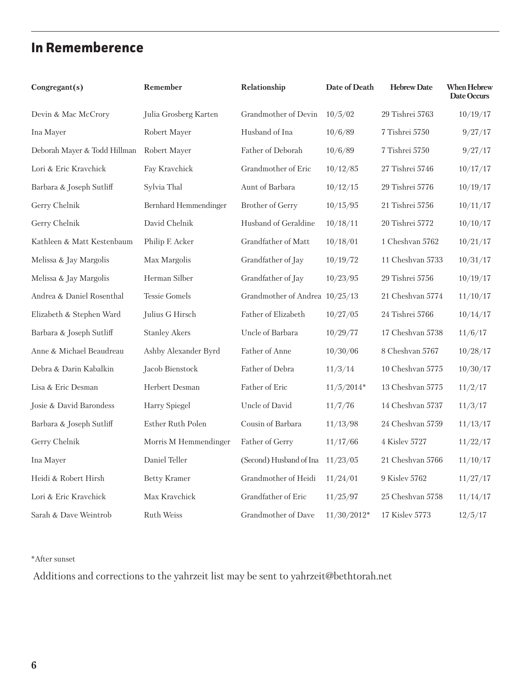## **In Rememberence**

| Congregant(s)                | Remember              | Relationship                   | Date of Death | <b>Hebrew Date</b> | <b>When Hebrew</b><br>Date Occurs |
|------------------------------|-----------------------|--------------------------------|---------------|--------------------|-----------------------------------|
| Devin & Mac McCrory          | Julia Grosberg Karten | Grandmother of Devin           | 10/5/02       | 29 Tishrei 5763    | 10/19/17                          |
| Ina Mayer                    | Robert Mayer          | Husband of Ina                 | 10/6/89       | 7 Tishrei 5750     | 9/27/17                           |
| Deborah Mayer & Todd Hillman | Robert Mayer          | Father of Deborah              | 10/6/89       | 7 Tishrei 5750     | 9/27/17                           |
| Lori & Eric Kravchick        | Fay Kravchick         | Grandmother of Eric            | 10/12/85      | 27 Tishrei 5746    | 10/17/17                          |
| Barbara & Joseph Sutliff     | Sylvia Thal           | Aunt of Barbara                | 10/12/15      | 29 Tishrei 5776    | 10/19/17                          |
| Gerry Chelnik                | Bernhard Hemmendinger | Brother of Gerry               | 10/15/95      | 21 Tishrei 5756    | 10/11/17                          |
| Gerry Chelnik                | David Chelnik         | Husband of Geraldine           | 10/18/11      | 20 Tishrei 5772    | 10/10/17                          |
| Kathleen & Matt Kestenbaum   | Philip F. Acker       | Grandfather of Matt            | 10/18/01      | 1 Cheshvan 5762    | 10/21/17                          |
| Melissa & Jay Margolis       | Max Margolis          | Grandfather of Jay             | 10/19/72      | 11 Cheshvan 5733   | 10/31/17                          |
| Melissa & Jay Margolis       | Herman Silber         | Grandfather of Jay             | 10/23/95      | 29 Tishrei 5756    | 10/19/17                          |
| Andrea & Daniel Rosenthal    | <b>Tessie Gomels</b>  | Grandmother of Andrea 10/25/13 |               | 21 Cheshvan 5774   | 11/10/17                          |
| Elizabeth & Stephen Ward     | Julius G Hirsch       | Father of Elizabeth            | 10/27/05      | 24 Tishrei 5766    | 10/14/17                          |
| Barbara & Joseph Sutliff     | <b>Stanley Akers</b>  | Uncle of Barbara               | 10/29/77      | 17 Cheshvan 5738   | 11/6/17                           |
| Anne & Michael Beaudreau     | Ashby Alexander Byrd  | Father of Anne                 | 10/30/06      | 8 Cheshvan 5767    | 10/28/17                          |
| Debra & Darin Kabalkin       | Jacob Bienstock       | Father of Debra                | 11/3/14       | 10 Cheshvan 5775   | 10/30/17                          |
| Lisa & Eric Desman           | Herbert Desman        | Father of Eric                 | $11/5/2014*$  | 13 Cheshvan 5775   | 11/2/17                           |
| Josie & David Barondess      | Harry Spiegel         | Uncle of David                 | 11/7/76       | 14 Cheshvan 5737   | 11/3/17                           |
| Barbara & Joseph Sutliff     | Esther Ruth Polen     | Cousin of Barbara              | 11/13/98      | 24 Cheshvan 5759   | 11/13/17                          |
| Gerry Chelnik                | Morris M Hemmendinger | Father of Gerry                | 11/17/66      | 4 Kislev 5727      | 11/22/17                          |
| Ina Mayer                    | Daniel Teller         | (Second) Husband of Ina        | 11/23/05      | 21 Cheshvan 5766   | 11/10/17                          |
| Heidi & Robert Hirsh         | <b>Betty Kramer</b>   | Grandmother of Heidi           | 11/24/01      | 9 Kislev 5762      | 11/27/17                          |
| Lori & Eric Kravchick        | Max Kravchick         | Grandfather of Eric            | 11/25/97      | 25 Cheshvan 5758   | 11/14/17                          |
| Sarah & Dave Weintrob        | <b>Ruth Weiss</b>     | Grandmother of Dave            | $11/30/2012*$ | 17 Kislev 5773     | 12/5/17                           |

\*After sunset

Additions and corrections to the yahrzeit list may be sent to yahrzeit@bethtorah.net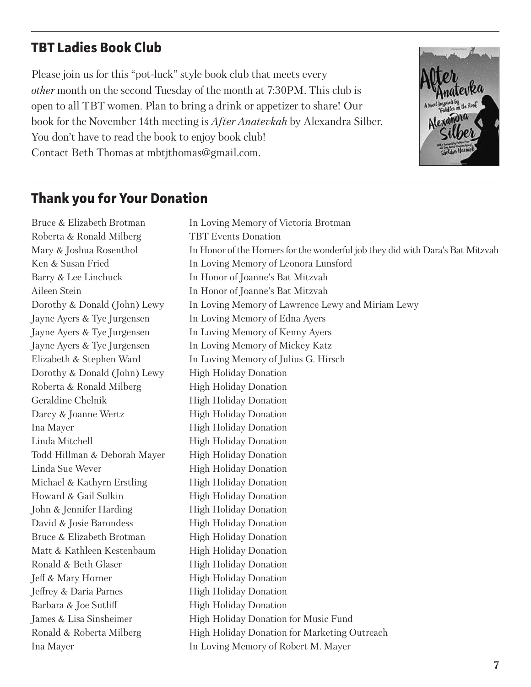## **TBT Ladies Book Club**

Please join us for this "pot-luck" style book club that meets every *other* month on the second Tuesday of the month at 7:30PM. This club is open to all TBT women. Plan to bring a drink or appetizer to share! Our book for the November 14th meeting is *After Anatevkah* by Alexandra Silber. You don't have to read the book to enjoy book club! Contact Beth Thomas at mbtjthomas@gmail.com.



## **Thank you for Your Donation**

Bruce & Elizabeth Brotman In Loving Memory of Victoria Brotman Roberta & Ronald Milberg TBT Events Donation Mary & Joshua Rosenthol In Honor of the Horners for the wonderful job they did with Dara's Bat Mitzvah Ken & Susan Fried In Loving Memory of Leonora Lunsford Barry & Lee Linchuck In Honor of Joanne's Bat Mitzvah Aileen Stein In Honor of Joanne's Bat Mitzvah Dorothy & Donald (John) Lewy In Loving Memory of Lawrence Lewy and Miriam Lewy Jayne Ayers & Tye Jurgensen In Loving Memory of Edna Ayers Jayne Ayers & Tye Jurgensen In Loving Memory of Kenny Ayers Jayne Ayers & Tye Jurgensen In Loving Memory of Mickey Katz Elizabeth & Stephen Ward In Loving Memory of Julius G. Hirsch Dorothy & Donald (John) Lewy High Holiday Donation Roberta & Ronald Milberg High Holiday Donation Geraldine Chelnik High Holiday Donation Darcy & Joanne Wertz High Holiday Donation Ina Mayer High Holiday Donation Linda Mitchell High Holiday Donation Todd Hillman & Deborah Mayer High Holiday Donation Linda Sue Wever High Holiday Donation Michael & Kathyrn Erstling High Holiday Donation Howard & Gail Sulkin High Holiday Donation John & Jennifer Harding High Holiday Donation David & Josie Barondess High Holiday Donation Bruce & Elizabeth Brotman High Holiday Donation Matt & Kathleen Kestenbaum High Holiday Donation Ronald & Beth Glaser High Holiday Donation **Jeff & Mary Horner** High Holiday Donation Jeffrey & Daria Parnes High Holiday Donation Barbara & Joe Sutliff High Holiday Donation James & Lisa Sinsheimer High Holiday Donation for Music Fund Ronald & Roberta Milberg High Holiday Donation for Marketing Outreach Ina Mayer In Loving Memory of Robert M. Mayer